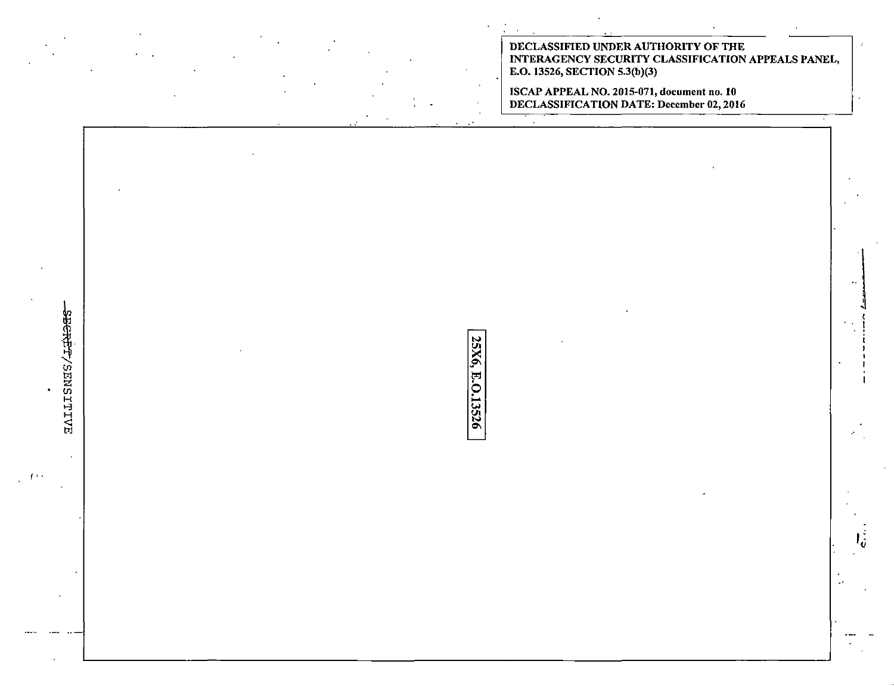DECLASSIFIED UNDER AUTHORITY OF THE INTERAGENCY SECURITY CLASSIFICATION APPEALS PANEL, E.O. 13526, SECTION 5.3(b)(3)

ISCAP APPEAL NO. 2015-071, document no. 10<br>DECLASSIFICATION DATE: December 02, 2016

**BEREF/SENSITES** 25X6, E.O.13526